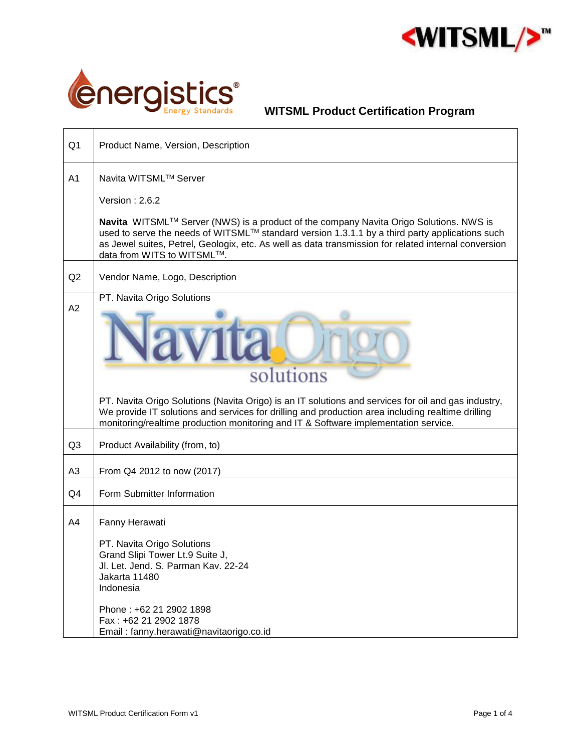



| Product Name, Version, Description                                                                                                                                                                                                                                                                                                                 |  |  |
|----------------------------------------------------------------------------------------------------------------------------------------------------------------------------------------------------------------------------------------------------------------------------------------------------------------------------------------------------|--|--|
| Navita WITSML™ Server                                                                                                                                                                                                                                                                                                                              |  |  |
| Version: $2.6.2$<br>Navita WITSML™ Server (NWS) is a product of the company Navita Origo Solutions. NWS is<br>used to serve the needs of WITSML™ standard version 1.3.1.1 by a third party applications such<br>as Jewel suites, Petrel, Geologix, etc. As well as data transmission for related internal conversion<br>data from WITS to WITSML™. |  |  |
| Vendor Name, Logo, Description                                                                                                                                                                                                                                                                                                                     |  |  |
| PT. Navita Origo Solutions<br>solutions                                                                                                                                                                                                                                                                                                            |  |  |
| PT. Navita Origo Solutions (Navita Origo) is an IT solutions and services for oil and gas industry,<br>We provide IT solutions and services for drilling and production area including realtime drilling<br>monitoring/realtime production monitoring and IT & Software implementation service.                                                    |  |  |
| Product Availability (from, to)                                                                                                                                                                                                                                                                                                                    |  |  |
| From Q4 2012 to now (2017)                                                                                                                                                                                                                                                                                                                         |  |  |
| Form Submitter Information                                                                                                                                                                                                                                                                                                                         |  |  |
| Fanny Herawati<br>PT. Navita Origo Solutions<br>Grand Slipi Tower Lt.9 Suite J,<br>Jl. Let. Jend. S. Parman Kav. 22-24<br>Jakarta 11480<br>Indonesia<br>Phone: +62 21 2902 1898<br>Fax: +62 21 2902 1878                                                                                                                                           |  |  |
|                                                                                                                                                                                                                                                                                                                                                    |  |  |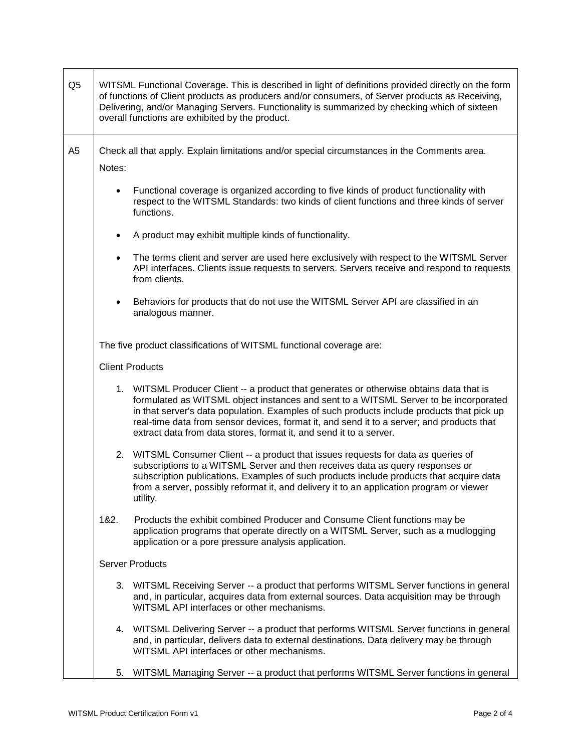| Q <sub>5</sub> | WITSML Functional Coverage. This is described in light of definitions provided directly on the form<br>of functions of Client products as producers and/or consumers, of Server products as Receiving,<br>Delivering, and/or Managing Servers. Functionality is summarized by checking which of sixteen<br>overall functions are exhibited by the product.                                                                                      |  |
|----------------|-------------------------------------------------------------------------------------------------------------------------------------------------------------------------------------------------------------------------------------------------------------------------------------------------------------------------------------------------------------------------------------------------------------------------------------------------|--|
| A <sub>5</sub> | Check all that apply. Explain limitations and/or special circumstances in the Comments area.                                                                                                                                                                                                                                                                                                                                                    |  |
|                | Notes:                                                                                                                                                                                                                                                                                                                                                                                                                                          |  |
|                | Functional coverage is organized according to five kinds of product functionality with<br>$\bullet$<br>respect to the WITSML Standards: two kinds of client functions and three kinds of server<br>functions.                                                                                                                                                                                                                                   |  |
|                | A product may exhibit multiple kinds of functionality.<br>$\bullet$                                                                                                                                                                                                                                                                                                                                                                             |  |
|                | The terms client and server are used here exclusively with respect to the WITSML Server<br>$\bullet$<br>API interfaces. Clients issue requests to servers. Servers receive and respond to requests<br>from clients.                                                                                                                                                                                                                             |  |
|                | Behaviors for products that do not use the WITSML Server API are classified in an<br>$\bullet$<br>analogous manner.                                                                                                                                                                                                                                                                                                                             |  |
|                | The five product classifications of WITSML functional coverage are:                                                                                                                                                                                                                                                                                                                                                                             |  |
|                | <b>Client Products</b>                                                                                                                                                                                                                                                                                                                                                                                                                          |  |
|                | 1. WITSML Producer Client -- a product that generates or otherwise obtains data that is<br>formulated as WITSML object instances and sent to a WITSML Server to be incorporated<br>in that server's data population. Examples of such products include products that pick up<br>real-time data from sensor devices, format it, and send it to a server; and products that<br>extract data from data stores, format it, and send it to a server. |  |
|                | 2. WITSML Consumer Client -- a product that issues requests for data as queries of<br>subscriptions to a WITSML Server and then receives data as query responses or<br>subscription publications. Examples of such products include products that acquire data<br>from a server, possibly reformat it, and delivery it to an application program or viewer<br>utility.                                                                          |  |
|                | 182.<br>Products the exhibit combined Producer and Consume Client functions may be<br>application programs that operate directly on a WITSML Server, such as a mudlogging<br>application or a pore pressure analysis application.                                                                                                                                                                                                               |  |
|                | <b>Server Products</b>                                                                                                                                                                                                                                                                                                                                                                                                                          |  |
|                | WITSML Receiving Server -- a product that performs WITSML Server functions in general<br>3.<br>and, in particular, acquires data from external sources. Data acquisition may be through<br>WITSML API interfaces or other mechanisms.                                                                                                                                                                                                           |  |
|                | 4. WITSML Delivering Server -- a product that performs WITSML Server functions in general<br>and, in particular, delivers data to external destinations. Data delivery may be through<br>WITSML API interfaces or other mechanisms.                                                                                                                                                                                                             |  |
|                | WITSML Managing Server -- a product that performs WITSML Server functions in general<br>5.                                                                                                                                                                                                                                                                                                                                                      |  |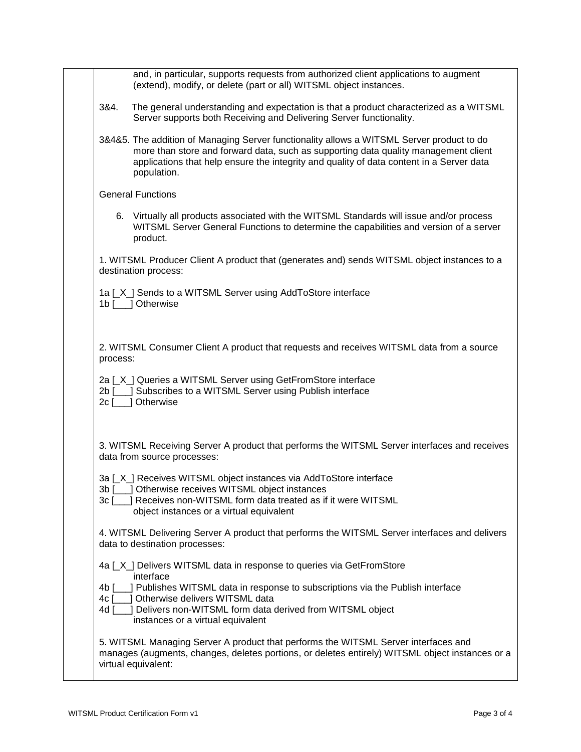|          | and, in particular, supports requests from authorized client applications to augment<br>(extend), modify, or delete (part or all) WITSML object instances.                                                                                                                                  |
|----------|---------------------------------------------------------------------------------------------------------------------------------------------------------------------------------------------------------------------------------------------------------------------------------------------|
| 3&4.     | The general understanding and expectation is that a product characterized as a WITSML<br>Server supports both Receiving and Delivering Server functionality.                                                                                                                                |
|          | 3&4&5. The addition of Managing Server functionality allows a WITSML Server product to do<br>more than store and forward data, such as supporting data quality management client<br>applications that help ensure the integrity and quality of data content in a Server data<br>population. |
|          | <b>General Functions</b>                                                                                                                                                                                                                                                                    |
|          | 6. Virtually all products associated with the WITSML Standards will issue and/or process<br>WITSML Server General Functions to determine the capabilities and version of a server<br>product.                                                                                               |
|          | 1. WITSML Producer Client A product that (generates and) sends WITSML object instances to a<br>destination process:                                                                                                                                                                         |
|          | 1a [X ] Sends to a WITSML Server using AddToStore interface<br>1b [___] Otherwise                                                                                                                                                                                                           |
| process: | 2. WITSML Consumer Client A product that requests and receives WITSML data from a source                                                                                                                                                                                                    |
|          | 2a [X] Queries a WITSML Server using GetFromStore interface<br>2b [1611] Subscribes to a WITSML Server using Publish interface<br>2c [     Otherwise                                                                                                                                        |
|          | 3. WITSML Receiving Server A product that performs the WITSML Server interfaces and receives<br>data from source processes:                                                                                                                                                                 |
| 3c [     | 3a [X] Receives WITSML object instances via AddToStore interface<br>3b [100] Otherwise receives WITSML object instances<br>] Receives non-WITSML form data treated as if it were WITSML                                                                                                     |
|          | object instances or a virtual equivalent                                                                                                                                                                                                                                                    |
|          | 4. WITSML Delivering Server A product that performs the WITSML Server interfaces and delivers<br>data to destination processes:                                                                                                                                                             |
|          | 4a [X] Delivers WITSML data in response to queries via GetFromStore<br>interface                                                                                                                                                                                                            |
|          | 4b [100] Publishes WITSML data in response to subscriptions via the Publish interface<br>4c [ ] Otherwise delivers WITSML data<br>4d [___] Delivers non-WITSML form data derived from WITSML object<br>instances or a virtual equivalent                                                    |
|          | 5. WITSML Managing Server A product that performs the WITSML Server interfaces and<br>manages (augments, changes, deletes portions, or deletes entirely) WITSML object instances or a<br>virtual equivalent:                                                                                |